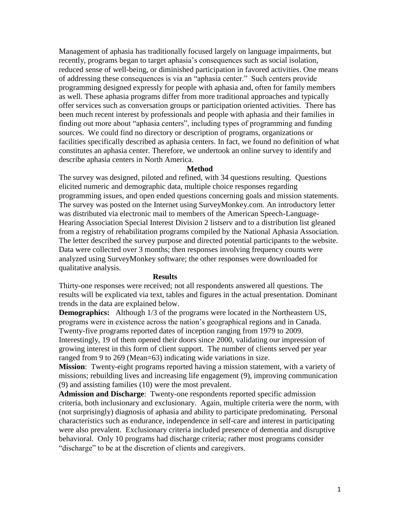Management of aphasia has traditionally focused largely on language impairments, but recently, programs began to target aphasia's consequences such as social isolation, reduced sense of well-being, or diminished participation in favored activities. One means of addressing these consequences is via an "aphasia center." Such centers provide programming designed expressly for people with aphasia and, often for family members as well. These aphasia programs differ from more traditional approaches and typically offer services such as conversation groups or participation oriented activities. There has been much recent interest by professionals and people with aphasia and their families in finding out more about "aphasia centers", including types of programming and funding sources. We could find no directory or description of programs, organizations or facilities specifically described as aphasia centers. In fact, we found no definition of what constitutes an aphasia center. Therefore, we undertook an online survey to identify and describe aphasia centers in North America.

## **Method**

The survey was designed, piloted and refined, with 34 questions resulting. Questions elicited numeric and demographic data, multiple choice responses regarding programming issues, and open ended questions concerning goals and mission statements. The survey was posted on the Internet using SurveyMonkey.com. An introductory letter was distributed via electronic mail to members of the American Speech-Language-Hearing Association Special Interest Division 2 listserv and to a distribution list gleaned from a registry of rehabilitation programs compiled by the National Aphasia Association. The letter described the survey purpose and directed potential participants to the website. Data were collected over 3 months; then responses involving frequency counts were analyzed using SurveyMonkey software; the other responses were downloaded for qualitative analysis.

## **Results**

Thirty-one responses were received; not all respondents answered all questions. The results will be explicated via text, tables and figures in the actual presentation. Dominant trends in the data are explained below.

**Demographics:** Although 1/3 of the programs were located in the Northeastern US, programs were in existence across the nation's geographical regions and in Canada. Twenty-five programs reported dates of inception ranging from 1979 to 2009.

Interestingly, 19 of them opened their doors since 2000, validating our impression of growing interest in this form of client support. The number of clients served per year ranged from 9 to 269 (Mean=63) indicating wide variations in size.

**Mission**: Twenty-eight programs reported having a mission statement, with a variety of missions; rebuilding lives and increasing life engagement (9), improving communication (9) and assisting families (10) were the most prevalent.

**Admission and Discharge**: Twenty-one respondents reported specific admission criteria, both inclusionary and exclusionary. Again, multiple criteria were the norm, with (not surprisingly) diagnosis of aphasia and ability to participate predominating. Personal characteristics such as endurance, independence in self-care and interest in participating were also prevalent. Exclusionary criteria included presence of dementia and disruptive behavioral. Only 10 programs had discharge criteria; rather most programs consider "discharge" to be at the discretion of clients and caregivers.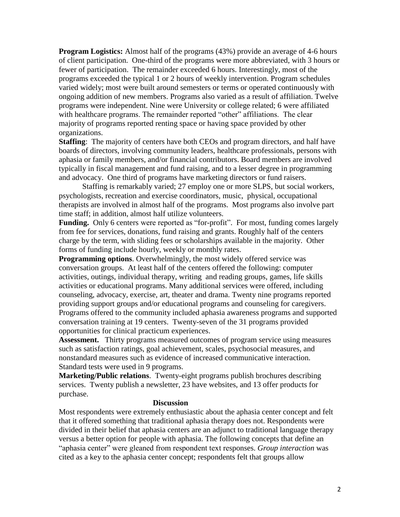**Program Logistics:** Almost half of the programs (43%) provide an average of 4-6 hours of client participation. One-third of the programs were more abbreviated, with 3 hours or fewer of participation. The remainder exceeded 6 hours. Interestingly, most of the programs exceeded the typical 1 or 2 hours of weekly intervention. Program schedules varied widely; most were built around semesters or terms or operated continuously with ongoing addition of new members. Programs also varied as a result of affiliation. Twelve programs were independent. Nine were University or college related; 6 were affiliated with healthcare programs. The remainder reported "other" affiliations. The clear majority of programs reported renting space or having space provided by other organizations.

**Staffing**: The majority of centers have both CEOs and program directors, and half have boards of directors, involving community leaders, healthcare professionals, persons with aphasia or family members, and/or financial contributors. Board members are involved typically in fiscal management and fund raising, and to a lesser degree in programming and advocacy. One third of programs have marketing directors or fund raisers.

Staffing is remarkably varied; 27 employ one or more SLPS, but social workers, psychologists, recreation and exercise coordinators, music, physical, occupational therapists are involved in almost half of the programs. Most programs also involve part time staff; in addition, almost half utilize volunteers.

Funding. Only 6 centers were reported as "for-profit". For most, funding comes largely from fee for services, donations, fund raising and grants. Roughly half of the centers charge by the term, with sliding fees or scholarships available in the majority. Other forms of funding include hourly, weekly or monthly rates.

**Programming options**. Overwhelmingly, the most widely offered service was conversation groups. At least half of the centers offered the following: computer activities, outings, individual therapy, writing and reading groups, games, life skills activities or educational programs. Many additional services were offered, including counseling, advocacy, exercise, art, theater and drama. Twenty nine programs reported providing support groups and/or educational programs and counseling for caregivers. Programs offered to the community included aphasia awareness programs and supported conversation training at 19 centers. Twenty-seven of the 31 programs provided opportunities for clinical practicum experiences.

**Assessment.** Thirty programs measured outcomes of program service using measures such as satisfaction ratings, goal achievement, scales, psychosocial measures, and nonstandard measures such as evidence of increased communicative interaction. Standard tests were used in 9 programs.

**Marketing/Public relations**. Twenty-eight programs publish brochures describing services. Twenty publish a newsletter, 23 have websites, and 13 offer products for purchase.

## **Discussion**

Most respondents were extremely enthusiastic about the aphasia center concept and felt that it offered something that traditional aphasia therapy does not. Respondents were divided in their belief that aphasia centers are an adjunct to traditional language therapy versus a better option for people with aphasia. The following concepts that define an "aphasia center" were gleaned from respondent text responses. *Group interaction* was cited as a key to the aphasia center concept; respondents felt that groups allow